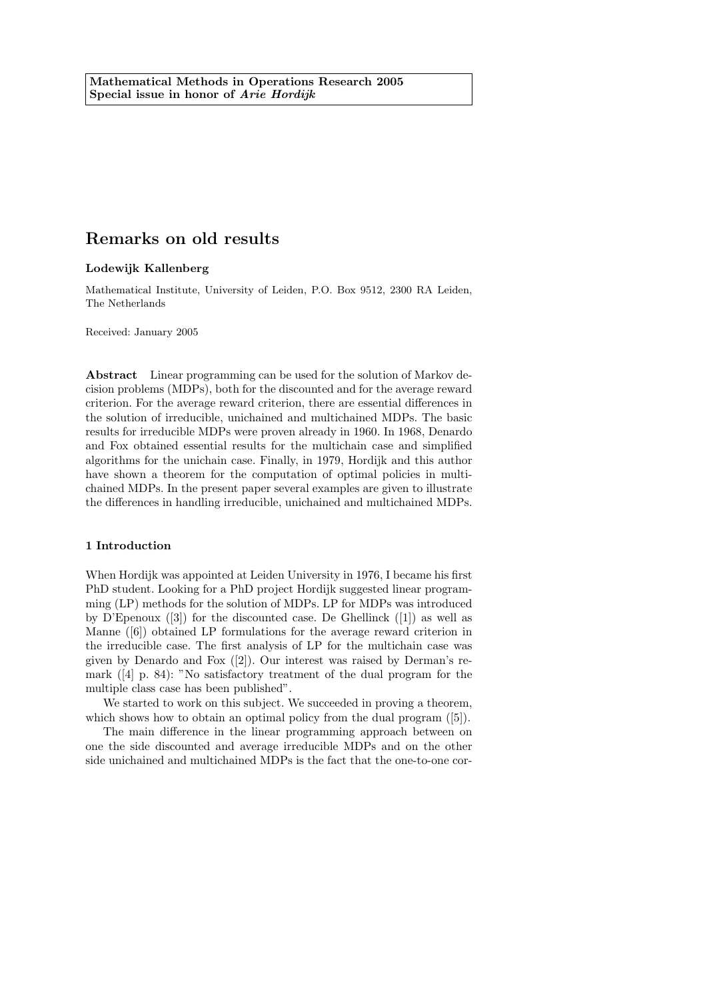# Remarks on old results

## Lodewijk Kallenberg

Mathematical Institute, University of Leiden, P.O. Box 9512, 2300 RA Leiden, The Netherlands

Received: January 2005

Abstract Linear programming can be used for the solution of Markov decision problems (MDPs), both for the discounted and for the average reward criterion. For the average reward criterion, there are essential differences in the solution of irreducible, unichained and multichained MDPs. The basic results for irreducible MDPs were proven already in 1960. In 1968, Denardo and Fox obtained essential results for the multichain case and simplified algorithms for the unichain case. Finally, in 1979, Hordijk and this author have shown a theorem for the computation of optimal policies in multichained MDPs. In the present paper several examples are given to illustrate the differences in handling irreducible, unichained and multichained MDPs.

#### 1 Introduction

When Hordijk was appointed at Leiden University in 1976, I became his first PhD student. Looking for a PhD project Hordijk suggested linear programming (LP) methods for the solution of MDPs. LP for MDPs was introduced by D'Epenoux  $([3])$  for the discounted case. De Ghellinck  $([1])$  as well as Manne ([6]) obtained LP formulations for the average reward criterion in the irreducible case. The first analysis of LP for the multichain case was given by Denardo and Fox ([2]). Our interest was raised by Derman's remark ([4] p. 84): "No satisfactory treatment of the dual program for the multiple class case has been published".

We started to work on this subject. We succeeded in proving a theorem, which shows how to obtain an optimal policy from the dual program  $([5])$ .

The main difference in the linear programming approach between on one the side discounted and average irreducible MDPs and on the other side unichained and multichained MDPs is the fact that the one-to-one cor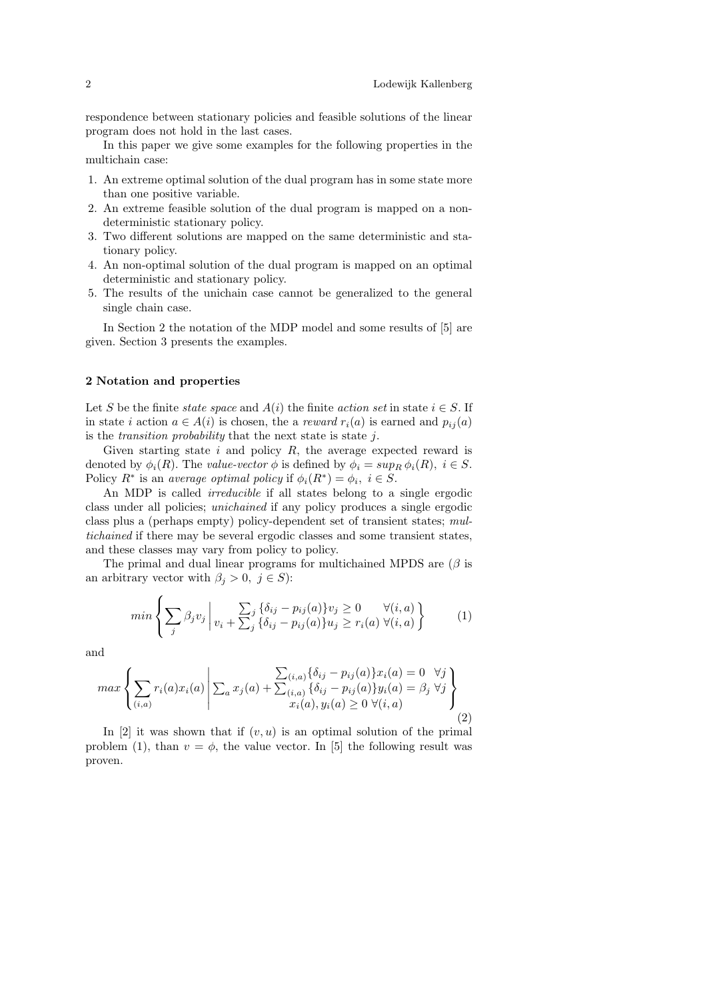respondence between stationary policies and feasible solutions of the linear program does not hold in the last cases.

In this paper we give some examples for the following properties in the multichain case:

- 1. An extreme optimal solution of the dual program has in some state more than one positive variable.
- 2. An extreme feasible solution of the dual program is mapped on a nondeterministic stationary policy.
- 3. Two different solutions are mapped on the same deterministic and stationary policy.
- 4. An non-optimal solution of the dual program is mapped on an optimal deterministic and stationary policy.
- 5. The results of the unichain case cannot be generalized to the general single chain case.

In Section 2 the notation of the MDP model and some results of [5] are given. Section 3 presents the examples.

## 2 Notation and properties

Let S be the finite state space and  $A(i)$  the finite action set in state  $i \in S$ . If in state i action  $a \in A(i)$  is chosen, the a *reward*  $r_i(a)$  is earned and  $p_{ij}(a)$ is the *transition probability* that the next state is state  $i$ .

Given starting state  $i$  and policy  $R$ , the average expected reward is denoted by  $\phi_i(R)$ . The value-vector  $\phi$  is defined by  $\phi_i = \sup_R \phi_i(R)$ ,  $i \in S$ . Policy  $R^*$  is an average optimal policy if  $\phi_i(R^*) = \phi_i, i \in S$ .

An MDP is called *irreducible* if all states belong to a single ergodic class under all policies; unichained if any policy produces a single ergodic class plus a (perhaps empty) policy-dependent set of transient states; multichained if there may be several ergodic classes and some transient states, and these classes may vary from policy to policy.

The primal and dual linear programs for multichained MPDS are  $(\beta$  is an arbitrary vector with  $\beta_j > 0, j \in S$ :

$$
min\left\{\sum_{j}\beta_jv_j\middle| \sum_{i} \{\delta_{ij}-p_{ij}(a)\}v_j\geq 0 \quad \forall (i,a) \atop j\downarrow j \leq p_{ij}(a)\}u_j \geq v_i(a) \ \forall (i,a) \right\} \tag{1}
$$

and

$$
\max \left\{ \sum_{(i,a)} r_i(a) x_i(a) \middle| \sum_a x_j(a) + \sum_{(i,a)} \{ \delta_{ij} - p_{ij}(a) \} x_i(a) = 0 \quad \forall j \\ x_i(a), y_i(a) \ge 0 \quad \forall (i,a) \right\}
$$
\n
$$
(2)
$$

In [2] it was shown that if  $(v, u)$  is an optimal solution of the primal problem (1), than  $v = \phi$ , the value vector. In [5] the following result was proven.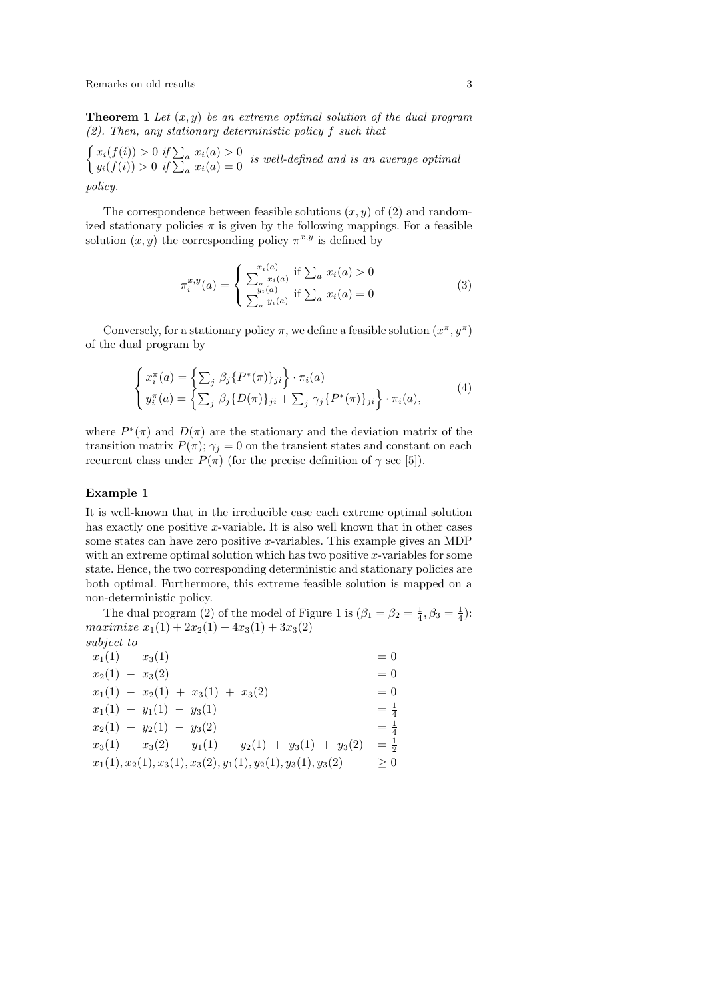Remarks on old results 3

**Theorem 1** Let  $(x, y)$  be an extreme optimal solution of the dual program  $(2)$ . Then, any stationary deterministic policy f such that

 $\int x_i(f(i)) > 0 \text{ if } \sum_a x_i(a) > 0$  $y_i(f(i)) > 0$  if  $\sum_a x_i(a) = 0$  is well-defined and is an average optimal  $y_i(f(i)) > 0$  if  $\sum_a x_i(a) = 0$ 

policy.

The correspondence between feasible solutions  $(x, y)$  of  $(2)$  and randomized stationary policies  $\pi$  is given by the following mappings. For a feasible solution  $(x, y)$  the corresponding policy  $\pi^{x,y}$  is defined by

$$
\pi_i^{x,y}(a) = \begin{cases}\n\frac{x_i(a)}{\sum_a x_i(a)} & \text{if } \sum_a x_i(a) > 0 \\
\frac{y_i(a)}{\sum_a y_i(a)} & \text{if } \sum_a x_i(a) = 0\n\end{cases}
$$
\n(3)

Conversely, for a stationary policy  $\pi$ , we define a feasible solution  $(x^{\pi}, y^{\pi})$ of the dual program by

$$
\begin{cases}\n x_i^{\pi}(a) = \left\{ \sum_j \beta_j \{ P^*(\pi) \}_{ji} \right\} \cdot \pi_i(a) \\
 y_i^{\pi}(a) = \left\{ \sum_j \beta_j \{ D(\pi) \}_{ji} + \sum_j \gamma_j \{ P^*(\pi) \}_{ji} \right\} \cdot \pi_i(a),\n\end{cases} \tag{4}
$$

where  $P^*(\pi)$  and  $D(\pi)$  are the stationary and the deviation matrix of the transition matrix  $P(\pi)$ ;  $\gamma_j = 0$  on the transient states and constant on each recurrent class under  $P(\pi)$  (for the precise definition of  $\gamma$  see [5]).

### Example 1

It is well-known that in the irreducible case each extreme optimal solution has exactly one positive x-variable. It is also well known that in other cases some states can have zero positive x-variables. This example gives an MDP with an extreme optimal solution which has two positive  $x$ -variables for some state. Hence, the two corresponding deterministic and stationary policies are both optimal. Furthermore, this extreme feasible solution is mapped on a non-deterministic policy.

The dual program (2) of the model of Figure 1 is  $(\beta_1 = \beta_2 = \frac{1}{4}, \beta_3 = \frac{1}{4})$ : maximize  $x_1(1) + 2x_2(1) + 4x_3(1) + 3x_3(2)$ subject to

| $x_1(1) - x_3(1)$                                                | $= 0$             |
|------------------------------------------------------------------|-------------------|
| $x_2(1) - x_3(2)$                                                | $= 0$             |
| $x_1(1) - x_2(1) + x_3(1) + x_3(2)$                              | $= 0$             |
| $x_1(1) + y_1(1) - y_3(1)$                                       | $=$ $\frac{1}{4}$ |
| $x_2(1) + y_2(1) - y_3(2)$                                       | $= \frac{1}{4}$   |
| $x_3(1) + x_3(2) - y_1(1) - y_2(1) + y_3(1) + y_3(2)$            | $=$ $\frac{1}{2}$ |
| $x_1(1), x_2(1), x_3(1), x_3(2), y_1(1), y_2(1), y_3(1), y_3(2)$ | $\geq 0$          |
|                                                                  |                   |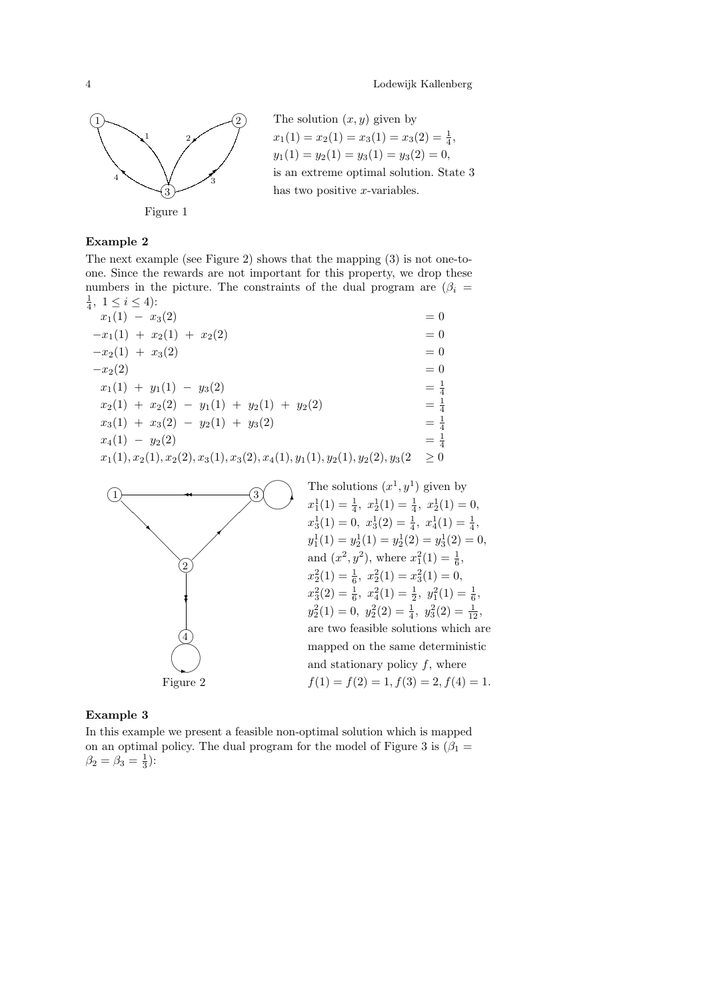

The solution  $(x, y)$  given by  $x_1(1) = x_2(1) = x_3(1) = x_3(2) = \frac{1}{4},$  $y_1(1) = y_2(1) = y_3(1) = y_3(2) = 0,$ is an extreme optimal solution. State 3 has two positive  $x$ -variables.

## Example 2

The next example (see Figure 2) shows that the mapping (3) is not one-toone. Since the rewards are not important for this property, we drop these numbers in the picture. The constraints of the dual program are  $(\beta_i =$  $\frac{1}{4}$ ,  $1 \leq i \leq 4$ ):

 $x_1(1) - x_3(2) = 0$  $-x_1(1) + x_2(1) + x_2(2) = 0$  $-x_2(1) + x_3(2) = 0$  $-x_2(2) = 0$  $x_1(1) + y_1(1) - y_3(2) =$  $\frac{1}{4}$  $x_2(1) + x_2(2) - y_1(1) + y_2(1) + y_2(2)$ 4  $x_3(1) + x_3(2) - y_2(1) + y_3(2)$ 4  $x_4(1) - y_2(2)$  $=\frac{1}{4}$  $x_1(1), x_2(1), x_2(2), x_3(1), x_3(2), x_4(1), y_1(1), y_2(1), y_2(2), y_3(2) \ge 0$ 



## Example 3

In this example we present a feasible non-optimal solution which is mapped on an optimal policy. The dual program for the model of Figure 3 is  $(\beta_1 =$  $\beta_2 = \beta_3 = \frac{1}{3}$ :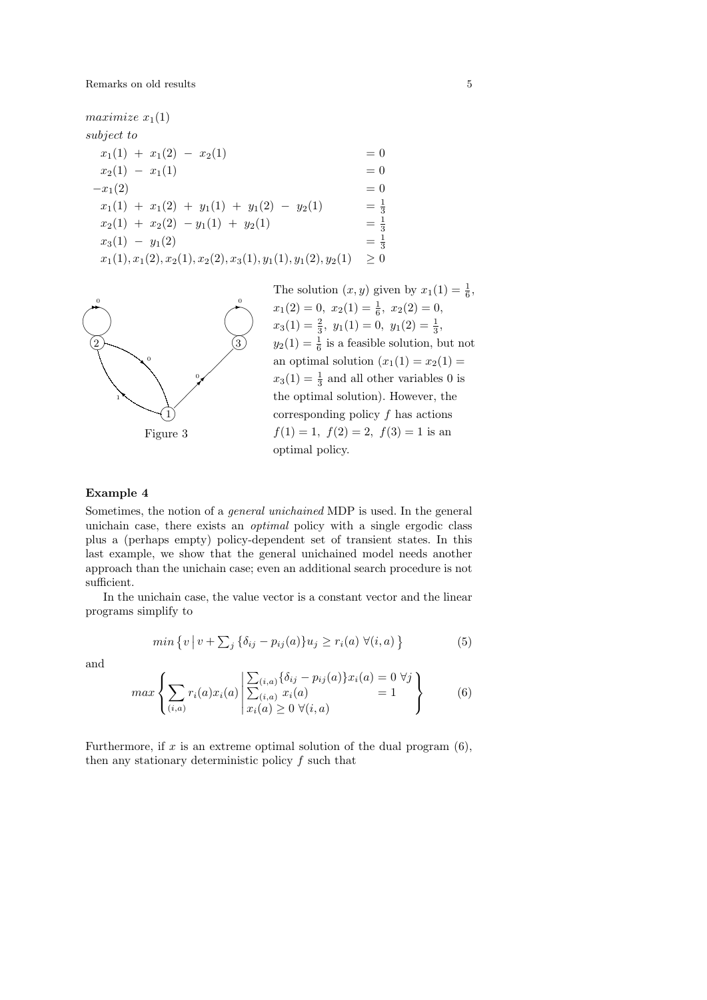maximize  $x_1(1)$ subject to  $x_1(1) + x_1(2) - x_2(1) = 0$  $x_2(1) - x_1(1) = 0$  $-x_1(2) = 0$  $x_1(1) + x_1(2) + y_1(1) + y_1(2) - y_2(1)$  $=\frac{1}{3}$  $x_2(1) + x_2(2) - y_1(1) + y_2(1)$  $=\frac{1}{3}$  $x_3(1) - y_1(2)$  $=\frac{1}{3}$  $x_1(1), x_1(2), x_2(1), x_2(2), x_3(1), y_1(1), y_1(2), y_2(1) \geq 0$ 





## Example 4

Sometimes, the notion of a general unichained MDP is used. In the general unichain case, there exists an optimal policy with a single ergodic class plus a (perhaps empty) policy-dependent set of transient states. In this last example, we show that the general unichained model needs another approach than the unichain case; even an additional search procedure is not sufficient.

In the unichain case, the value vector is a constant vector and the linear programs simplify to

$$
min\left\{v \mid v + \sum_{j} \{\delta_{ij} - p_{ij}(a)\} u_j \ge r_i(a) \ \forall (i, a) \right\} \tag{5}
$$

and

$$
\max \left\{ \sum_{(i,a)} r_i(a) x_i(a) \left| \frac{\sum_{(i,a)} \{\delta_{ij} - p_{ij}(a)\} x_i(a)}{\sum_{(i,a)} x_i(a)} \right| = 1 \right\}
$$
(6)

Furthermore, if x is an extreme optimal solution of the dual program  $(6)$ , then any stationary deterministic policy  $f$  such that